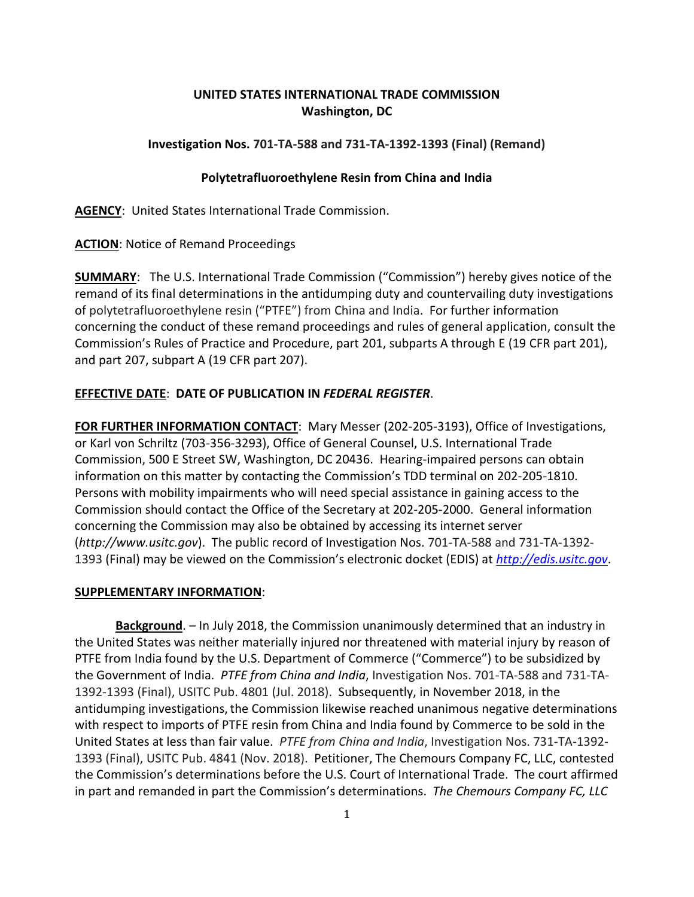## **UNITED STATES INTERNATIONAL TRADE COMMISSION Washington, DC**

## **Investigation Nos. 701-TA-588 and 731-TA-1392-1393 (Final) (Remand)**

## **Polytetrafluoroethylene Resin from China and India**

**AGENCY**: United States International Trade Commission.

**ACTION**: Notice of Remand Proceedings

**SUMMARY**: The U.S. International Trade Commission ("Commission") hereby gives notice of the remand of its final determinations in the antidumping duty and countervailing duty investigations of polytetrafluoroethylene resin ("PTFE") from China and India. For further information concerning the conduct of these remand proceedings and rules of general application, consult the Commission's Rules of Practice and Procedure, part 201, subparts A through E (19 CFR part 201), and part 207, subpart A (19 CFR part 207).

# **EFFECTIVE DATE**: **DATE OF PUBLICATION IN** *FEDERAL REGISTER*.

**FOR FURTHER INFORMATION CONTACT**: Mary Messer (202-205-3193), Office of Investigations, or Karl von Schriltz (703-356-3293), Office of General Counsel, U.S. International Trade Commission, 500 E Street SW, Washington, DC 20436. Hearing-impaired persons can obtain information on this matter by contacting the Commission's TDD terminal on 202-205-1810. Persons with mobility impairments who will need special assistance in gaining access to the Commission should contact the Office of the Secretary at 202-205-2000. General information concerning the Commission may also be obtained by accessing its internet server (*http://www.usitc.gov*). The public record of Investigation Nos. 701-TA-588 and 731-TA-1392- 1393 (Final) may be viewed on the Commission's electronic docket (EDIS) at *[http://edis.usitc.gov](http://edis.usitc.gov/)*.

#### **SUPPLEMENTARY INFORMATION**:

**Background**. – In July 2018, the Commission unanimously determined that an industry in the United States was neither materially injured nor threatened with material injury by reason of PTFE from India found by the U.S. Department of Commerce ("Commerce") to be subsidized by the Government of India. *PTFE from China and India*, Investigation Nos. 701-TA-588 and 731-TA-1392-1393 (Final), USITC Pub. 4801 (Jul. 2018). Subsequently, in November 2018, in the antidumping investigations, the Commission likewise reached unanimous negative determinations with respect to imports of PTFE resin from China and India found by Commerce to be sold in the United States at less than fair value. *PTFE from China and India*, Investigation Nos. 731-TA-1392- 1393 (Final), USITC Pub. 4841 (Nov. 2018). Petitioner, The Chemours Company FC, LLC, contested the Commission's determinations before the U.S. Court of International Trade. The court affirmed in part and remanded in part the Commission's determinations. *The Chemours Company FC, LLC*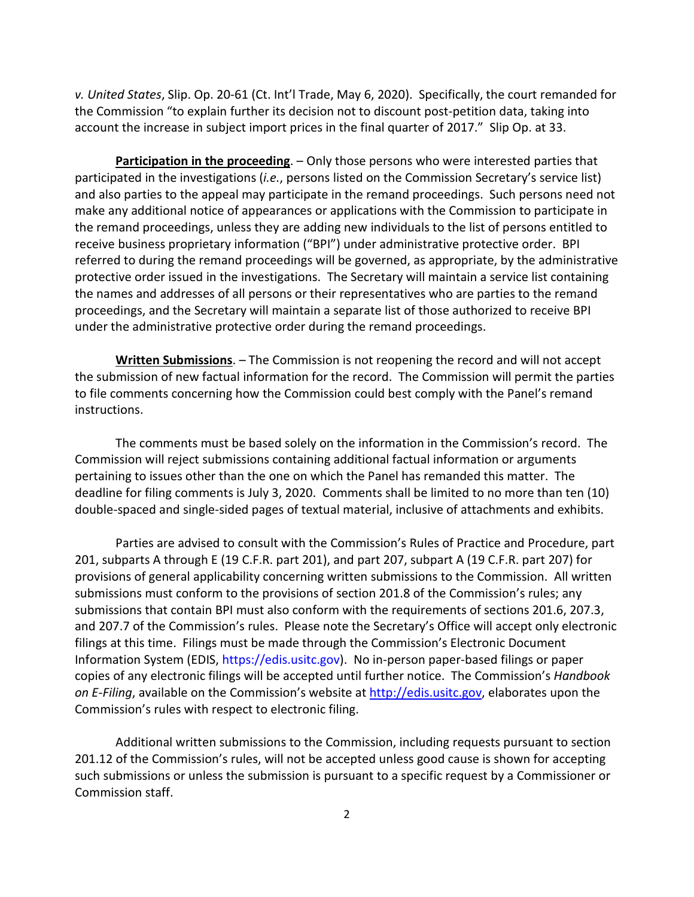*v. United States*, Slip. Op. 20-61 (Ct. Int'l Trade, May 6, 2020). Specifically, the court remanded for the Commission "to explain further its decision not to discount post-petition data, taking into account the increase in subject import prices in the final quarter of 2017." Slip Op. at 33.

**Participation in the proceeding**. – Only those persons who were interested parties that participated in the investigations (*i.e.*, persons listed on the Commission Secretary's service list) and also parties to the appeal may participate in the remand proceedings. Such persons need not make any additional notice of appearances or applications with the Commission to participate in the remand proceedings, unless they are adding new individuals to the list of persons entitled to receive business proprietary information ("BPI") under administrative protective order. BPI referred to during the remand proceedings will be governed, as appropriate, by the administrative protective order issued in the investigations. The Secretary will maintain a service list containing the names and addresses of all persons or their representatives who are parties to the remand proceedings, and the Secretary will maintain a separate list of those authorized to receive BPI under the administrative protective order during the remand proceedings.

**Written Submissions**. – The Commission is not reopening the record and will not accept the submission of new factual information for the record. The Commission will permit the parties to file comments concerning how the Commission could best comply with the Panel's remand instructions.

The comments must be based solely on the information in the Commission's record. The Commission will reject submissions containing additional factual information or arguments pertaining to issues other than the one on which the Panel has remanded this matter. The deadline for filing comments is July 3, 2020. Comments shall be limited to no more than ten (10) double-spaced and single-sided pages of textual material, inclusive of attachments and exhibits.

Parties are advised to consult with the Commission's Rules of Practice and Procedure, part 201, subparts A through E (19 C.F.R. part 201), and part 207, subpart A (19 C.F.R. part 207) for provisions of general applicability concerning written submissions to the Commission. All written submissions must conform to the provisions of section 201.8 of the Commission's rules; any submissions that contain BPI must also conform with the requirements of sections 201.6, 207.3, and 207.7 of the Commission's rules. Please note the Secretary's Office will accept only electronic filings at this time. Filings must be made through the Commission's Electronic Document Information System (EDIS, https://edis.usitc.gov). No in-person paper-based filings or paper copies of any electronic filings will be accepted until further notice. The Commission's *Handbook on E-Filing*, available on the Commission's website at [http://edis.usitc.gov,](http://edis.usitc.gov/) elaborates upon the Commission's rules with respect to electronic filing.

Additional written submissions to the Commission, including requests pursuant to section 201.12 of the Commission's rules, will not be accepted unless good cause is shown for accepting such submissions or unless the submission is pursuant to a specific request by a Commissioner or Commission staff.